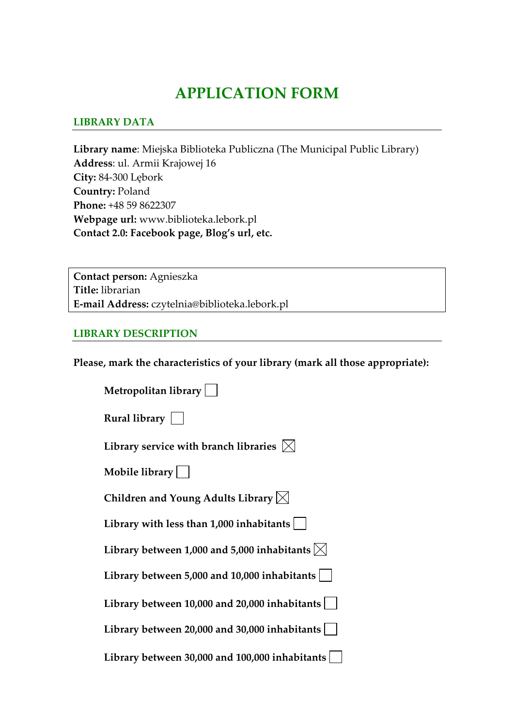## **APPLICATION FORM**

#### **LIBRARY DATA**

**Library name**: Miejska Biblioteka Publiczna (The Municipal Public Library) **Address**: ul. Armii Krajowej 16 **City:** 84‐300 Lębork **Country:** Poland **Phone:** +48 59 8622307 **Webpage url:** www.biblioteka.lebork.pl **Contact 2.0: Facebook page, Blog's url, etc.**

**Contact person:** Agnieszka **Title:** librarian **E‐mail Address:** czytelnia@biblioteka.lebork.pl

#### **LIBRARY DESCRIPTION**

**Please, mark the characteristics of your library (mark all those appropriate):**

| Metropolitan library                                         |
|--------------------------------------------------------------|
| Rural library $\vert \ \ \vert$                              |
| Library service with branch libraries $\vert\mathbb{X}\vert$ |
| Mobile library $\vert$ $\vert$                               |
| Children and Young Adults Library $\boxtimes$                |
| Library with less than $1,000$ inhabitants $ $               |
| Library between 1,000 and 5,000 inhabitants $ \times $       |
| Library between 5,000 and 10,000 inhabitants                 |
| Library between 10,000 and 20,000 inhabitants $ $            |
| Library between 20,000 and 30,000 inhabitants                |
| Library between 30,000 and 100,000 inhabitants               |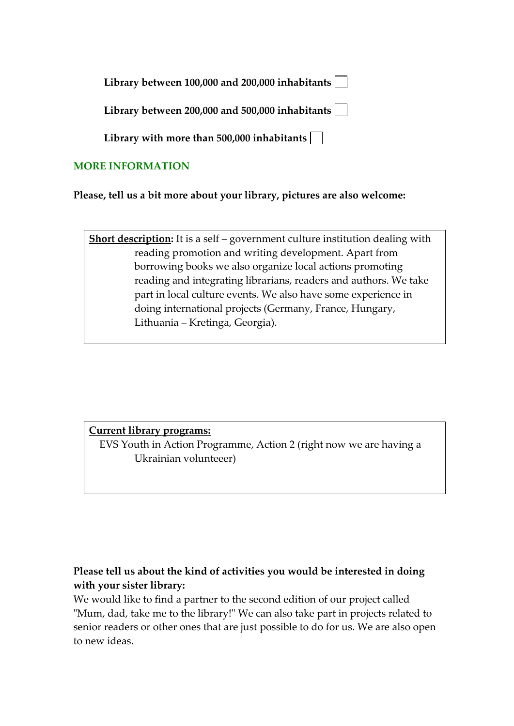| Library between 100,000 and 200,000 inhabitants $\lfloor$ |  |  |
|-----------------------------------------------------------|--|--|
|-----------------------------------------------------------|--|--|

**Library between 200,000 and 500,000 inhabitants**

**Library with more than 500,000 inhabitants**

#### **MORE INFORMATION**

**Please, tell us a bit more about your library, pictures are also welcome:** 

**Short description:** It is a self – government culture institution dealing with reading promotion and writing development. Apart from borrowing books we also organize local actions promoting reading and integrating librarians, readers and authors. We take part in local culture events. We also have some experience in doing international projects (Germany, France, Hungary, Lithuania – Kretinga, Georgia).

#### **Current library programs:**

 EVS Youth in Action Programme, Action 2 (right now we are having a Ukrainian volunteeer)

### **Please tell us about the kind of activities you would be interested in doing with your sister library:**

We would like to find a partner to the second edition of our project called "Mum, dad, take me to the library!" We can also take part in projects related to senior readers or other ones that are just possible to do for us. We are also open to new ideas.